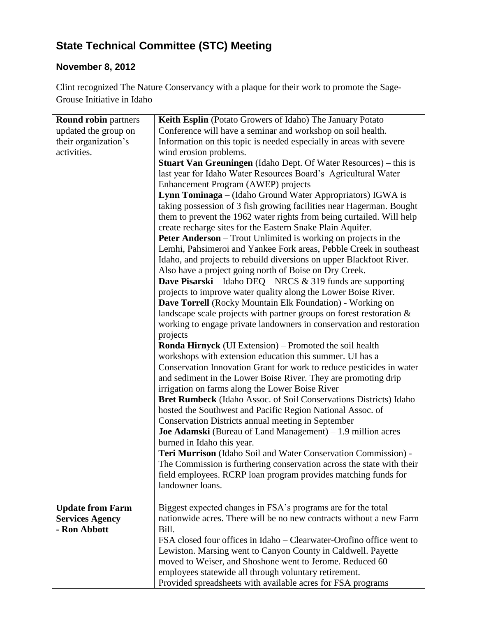## **State Technical Committee (STC) Meeting**

## **November 8, 2012**

Clint recognized The Nature Conservancy with a plaque for their work to promote the Sage-Grouse Initiative in Idaho

| <b>Round robin partners</b> | Keith Esplin (Potato Growers of Idaho) The January Potato               |
|-----------------------------|-------------------------------------------------------------------------|
| updated the group on        | Conference will have a seminar and workshop on soil health.             |
| their organization's        | Information on this topic is needed especially in areas with severe     |
| activities.                 | wind erosion problems.                                                  |
|                             | <b>Stuart Van Greuningen</b> (Idaho Dept. Of Water Resources) – this is |
|                             | last year for Idaho Water Resources Board's Agricultural Water          |
|                             | Enhancement Program (AWEP) projects                                     |
|                             | Lynn Tominaga – (Idaho Ground Water Appropriators) IGWA is              |
|                             | taking possession of 3 fish growing facilities near Hagerman. Bought    |
|                             | them to prevent the 1962 water rights from being curtailed. Will help   |
|                             | create recharge sites for the Eastern Snake Plain Aquifer.              |
|                             | Peter Anderson - Trout Unlimited is working on projects in the          |
|                             | Lemhi, Pahsimeroi and Yankee Fork areas, Pebble Creek in southeast      |
|                             | Idaho, and projects to rebuild diversions on upper Blackfoot River.     |
|                             | Also have a project going north of Boise on Dry Creek.                  |
|                             | <b>Dave Pisarski</b> – Idaho DEQ – NRCS $\&$ 319 funds are supporting   |
|                             | projects to improve water quality along the Lower Boise River.          |
|                             | Dave Torrell (Rocky Mountain Elk Foundation) - Working on               |
|                             | landscape scale projects with partner groups on forest restoration &    |
|                             | working to engage private landowners in conservation and restoration    |
|                             | projects                                                                |
|                             | <b>Ronda Hirnyck</b> (UI Extension) – Promoted the soil health          |
|                             | workshops with extension education this summer. UI has a                |
|                             | Conservation Innovation Grant for work to reduce pesticides in water    |
|                             | and sediment in the Lower Boise River. They are promoting drip          |
|                             | irrigation on farms along the Lower Boise River                         |
|                             | Bret Rumbeck (Idaho Assoc. of Soil Conservations Districts) Idaho       |
|                             | hosted the Southwest and Pacific Region National Assoc. of              |
|                             | Conservation Districts annual meeting in September                      |
|                             | <b>Joe Adamski</b> (Bureau of Land Management) $-1.9$ million acres     |
|                             | burned in Idaho this year.                                              |
|                             | Teri Murrison (Idaho Soil and Water Conservation Commission) -          |
|                             | The Commission is furthering conservation across the state with their   |
|                             | field employees. RCRP loan program provides matching funds for          |
|                             | landowner loans.                                                        |
|                             |                                                                         |
| <b>Update from Farm</b>     | Biggest expected changes in FSA's programs are for the total            |
| <b>Services Agency</b>      | nationwide acres. There will be no new contracts without a new Farm     |
| - Ron Abbott                | Bill.                                                                   |
|                             | FSA closed four offices in Idaho – Clearwater-Orofino office went to    |
|                             | Lewiston. Marsing went to Canyon County in Caldwell. Payette            |
|                             | moved to Weiser, and Shoshone went to Jerome. Reduced 60                |
|                             | employees statewide all through voluntary retirement.                   |
|                             | Provided spreadsheets with available acres for FSA programs             |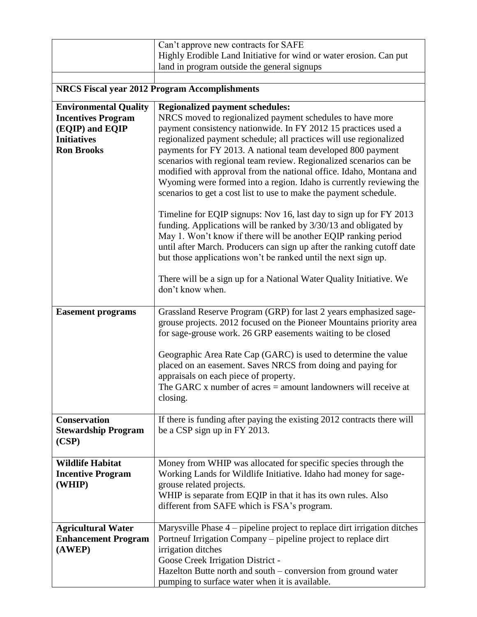|                                                            | Can't approve new contracts for SAFE                                                                                                                                                                                                                                                                                                                 |  |
|------------------------------------------------------------|------------------------------------------------------------------------------------------------------------------------------------------------------------------------------------------------------------------------------------------------------------------------------------------------------------------------------------------------------|--|
|                                                            | Highly Erodible Land Initiative for wind or water erosion. Can put<br>land in program outside the general signups                                                                                                                                                                                                                                    |  |
|                                                            |                                                                                                                                                                                                                                                                                                                                                      |  |
| <b>NRCS Fiscal year 2012 Program Accomplishments</b>       |                                                                                                                                                                                                                                                                                                                                                      |  |
| <b>Environmental Quality</b>                               | <b>Regionalized payment schedules:</b>                                                                                                                                                                                                                                                                                                               |  |
| <b>Incentives Program</b><br>(EQIP) and EQIP               | NRCS moved to regionalized payment schedules to have more<br>payment consistency nationwide. In FY 2012 15 practices used a                                                                                                                                                                                                                          |  |
| <b>Initiatives</b>                                         | regionalized payment schedule; all practices will use regionalized                                                                                                                                                                                                                                                                                   |  |
| <b>Ron Brooks</b>                                          | payments for FY 2013. A national team developed 800 payment                                                                                                                                                                                                                                                                                          |  |
|                                                            | scenarios with regional team review. Regionalized scenarios can be                                                                                                                                                                                                                                                                                   |  |
|                                                            | modified with approval from the national office. Idaho, Montana and                                                                                                                                                                                                                                                                                  |  |
|                                                            | Wyoming were formed into a region. Idaho is currently reviewing the<br>scenarios to get a cost list to use to make the payment schedule.                                                                                                                                                                                                             |  |
|                                                            | Timeline for EQIP signups: Nov 16, last day to sign up for FY 2013<br>funding. Applications will be ranked by 3/30/13 and obligated by<br>May 1. Won't know if there will be another EQIP ranking period<br>until after March. Producers can sign up after the ranking cutoff date<br>but those applications won't be ranked until the next sign up. |  |
|                                                            | There will be a sign up for a National Water Quality Initiative. We<br>don't know when.                                                                                                                                                                                                                                                              |  |
| <b>Easement programs</b>                                   | Grassland Reserve Program (GRP) for last 2 years emphasized sage-<br>grouse projects. 2012 focused on the Pioneer Mountains priority area                                                                                                                                                                                                            |  |
|                                                            | for sage-grouse work. 26 GRP easements waiting to be closed                                                                                                                                                                                                                                                                                          |  |
|                                                            | Geographic Area Rate Cap (GARC) is used to determine the value                                                                                                                                                                                                                                                                                       |  |
|                                                            | placed on an easement. Saves NRCS from doing and paying for                                                                                                                                                                                                                                                                                          |  |
|                                                            | appraisals on each piece of property.<br>The GARC $x$ number of acres $=$ amount landowners will receive at                                                                                                                                                                                                                                          |  |
|                                                            | closing.                                                                                                                                                                                                                                                                                                                                             |  |
| <b>Conservation</b><br><b>Stewardship Program</b><br>(CSP) | If there is funding after paying the existing 2012 contracts there will<br>be a CSP sign up in FY 2013.                                                                                                                                                                                                                                              |  |
|                                                            |                                                                                                                                                                                                                                                                                                                                                      |  |
| <b>Wildlife Habitat</b>                                    | Money from WHIP was allocated for specific species through the                                                                                                                                                                                                                                                                                       |  |
| <b>Incentive Program</b>                                   | Working Lands for Wildlife Initiative. Idaho had money for sage-                                                                                                                                                                                                                                                                                     |  |
| (WHIP)                                                     | grouse related projects.<br>WHIP is separate from EQIP in that it has its own rules. Also                                                                                                                                                                                                                                                            |  |
|                                                            | different from SAFE which is FSA's program.                                                                                                                                                                                                                                                                                                          |  |
|                                                            |                                                                                                                                                                                                                                                                                                                                                      |  |
| <b>Agricultural Water</b>                                  | Marysville Phase 4 – pipeline project to replace dirt irrigation ditches                                                                                                                                                                                                                                                                             |  |
| <b>Enhancement Program</b>                                 | Portneuf Irrigation Company – pipeline project to replace dirt                                                                                                                                                                                                                                                                                       |  |
| (AWEP)                                                     | irrigation ditches<br>Goose Creek Irrigation District -                                                                                                                                                                                                                                                                                              |  |
|                                                            | Hazelton Butte north and south – conversion from ground water                                                                                                                                                                                                                                                                                        |  |
|                                                            | pumping to surface water when it is available.                                                                                                                                                                                                                                                                                                       |  |